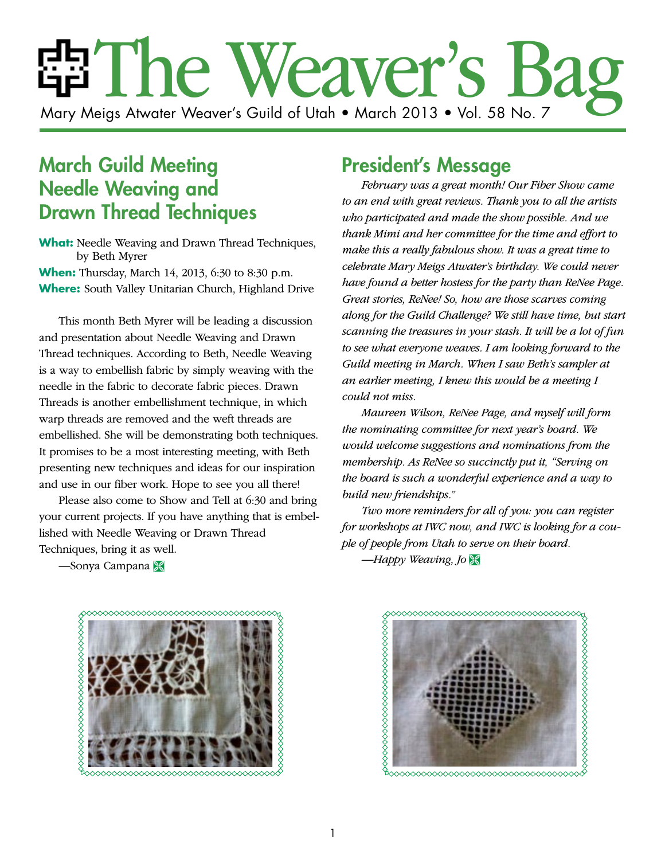# The Weaver's Bag Mary Meigs Atwater Weaver's Guild of Utah • March 2013 • Vol. 58 No. 7

### March Guild Meeting Needle Weaving and Drawn Thread Techniques

**What:** Needle Weaving and Drawn Thread Techniques, by Beth Myrer **When:** Thursday, March 14, 2013, 6:30 to 8:30 p.m.

**Where:** South Valley Unitarian Church, Highland Drive

This month Beth Myrer will be leading a discussion and presentation about Needle Weaving and Drawn Thread techniques. According to Beth, Needle Weaving is a way to embellish fabric by simply weaving with the needle in the fabric to decorate fabric pieces. Drawn Threads is another embellishment technique, in which warp threads are removed and the weft threads are embellished. She will be demonstrating both techniques. It promises to be a most interesting meeting, with Beth presenting new techniques and ideas for our inspiration and use in our fiber work. Hope to see you all there!

Please also come to Show and Tell at 6:30 and bring your current projects. If you have anything that is embellished with Needle Weaving or Drawn Thread Techniques, bring it as well.

—Sonya Campana

### President's Message

*February was a great month! Our Fiber Show came to an end with great reviews. Thank you to all the artists who participated and made the show possible. And we thank Mimi and her committee for the time and effort to make this a really fabulous show. It was a great time to celebrate Mary Meigs Atwater's birthday. We could never have found a better hostess for the party than ReNee Page. Great stories, ReNee! So, how are those scarves coming along for the Guild Challenge? We still have time, but start scanning the treasures in your stash. It will be a lot of fun to see what everyone weaves. I am looking forward to the Guild meeting in March. When I saw Beth's sampler at an earlier meeting, I knew this would be a meeting I could not miss.*

*Maureen Wilson, ReNee Page, and myself will form the nominating committee for next year's board. We would welcome suggestions and nominations from the membership. As ReNee so succinctly put it, "Serving on the board is such a wonderful experience and a way to build new friendships."*

*Two more reminders for all of you: you can register for workshops at IWC now, and IWC is looking for a couple of people from Utah to serve on their board.*  $-M$ *appy Weaving, Jo* 



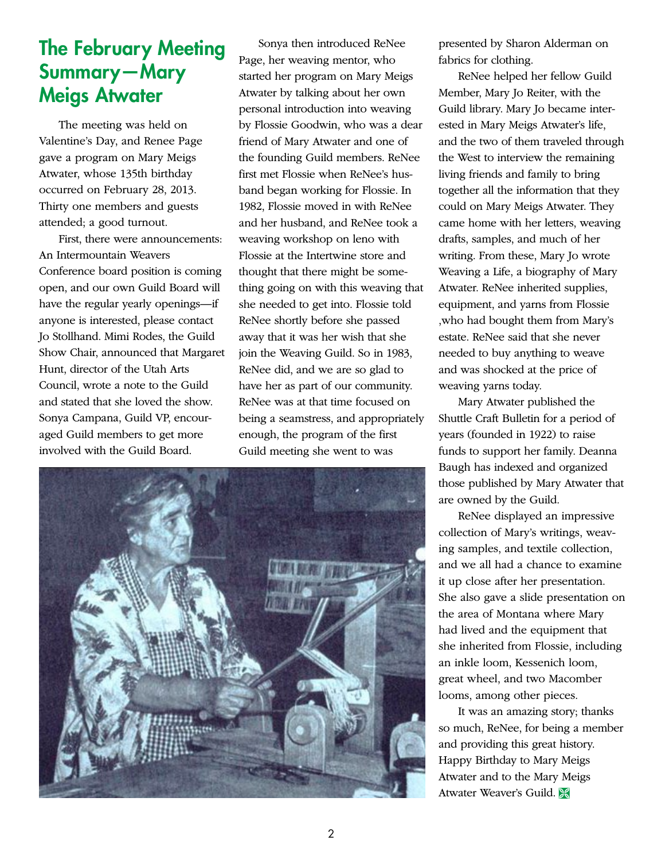### The February Meeting Summary—Mary Meigs Atwater

The meeting was held on Valentine's Day, and Renee Page gave a program on Mary Meigs Atwater, whose 135th birthday occurred on February 28, 2013. Thirty one members and guests attended; a good turnout.

First, there were announcements: An Intermountain Weavers Conference board position is coming open, and our own Guild Board will have the regular yearly openings—if anyone is interested, please contact Jo Stollhand. Mimi Rodes, the Guild Show Chair, announced that Margaret Hunt, director of the Utah Arts Council, wrote a note to the Guild and stated that she loved the show. Sonya Campana, Guild VP, encouraged Guild members to get more involved with the Guild Board.

Sonya then introduced ReNee Page, her weaving mentor, who started her program on Mary Meigs Atwater by talking about her own personal introduction into weaving by Flossie Goodwin, who was a dear friend of Mary Atwater and one of the founding Guild members. ReNee first met Flossie when ReNee's husband began working for Flossie. In 1982, Flossie moved in with ReNee and her husband, and ReNee took a weaving workshop on leno with Flossie at the Intertwine store and thought that there might be something going on with this weaving that she needed to get into. Flossie told ReNee shortly before she passed away that it was her wish that she join the Weaving Guild. So in 1983, ReNee did, and we are so glad to have her as part of our community. ReNee was at that time focused on being a seamstress, and appropriately enough, the program of the first Guild meeting she went to was



presented by Sharon Alderman on fabrics for clothing.

ReNee helped her fellow Guild Member, Mary Jo Reiter, with the Guild library. Mary Jo became interested in Mary Meigs Atwater's life, and the two of them traveled through the West to interview the remaining living friends and family to bring together all the information that they could on Mary Meigs Atwater. They came home with her letters, weaving drafts, samples, and much of her writing. From these, Mary Jo wrote Weaving a Life, a biography of Mary Atwater. ReNee inherited supplies, equipment, and yarns from Flossie ,who had bought them from Mary's estate. ReNee said that she never needed to buy anything to weave and was shocked at the price of weaving yarns today.

Mary Atwater published the Shuttle Craft Bulletin for a period of years (founded in 1922) to raise funds to support her family. Deanna Baugh has indexed and organized those published by Mary Atwater that are owned by the Guild.

ReNee displayed an impressive collection of Mary's writings, weaving samples, and textile collection, and we all had a chance to examine it up close after her presentation. She also gave a slide presentation on the area of Montana where Mary had lived and the equipment that she inherited from Flossie, including an inkle loom, Kessenich loom, great wheel, and two Macomber looms, among other pieces.

It was an amazing story; thanks so much, ReNee, for being a member and providing this great history. Happy Birthday to Mary Meigs Atwater and to the Mary Meigs Atwater Weaver's Guild.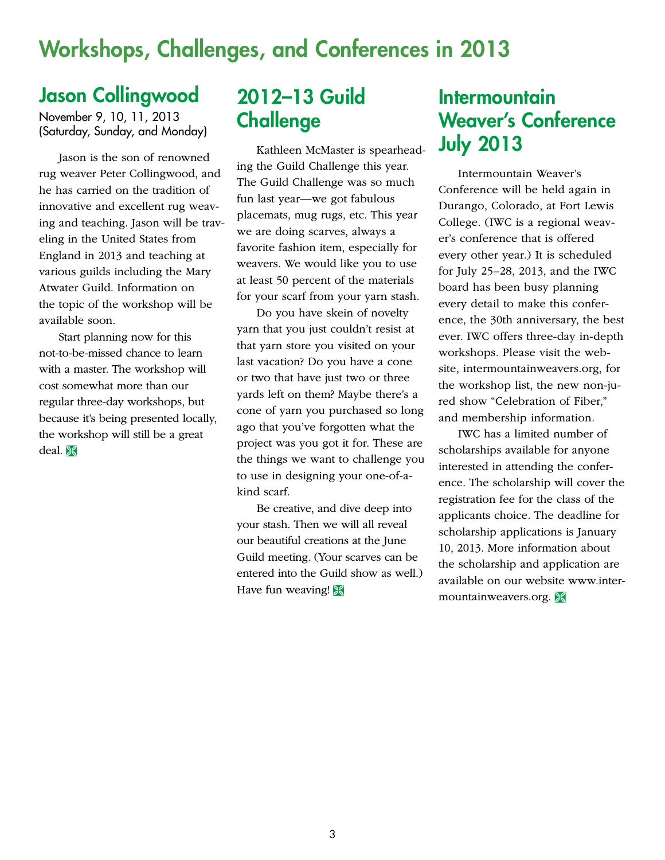### Workshops, Challenges, and Conferences in 2013

### Jason Collingwood

November 9, 10, 11, 2013 (Saturday, Sunday, and Monday)

Jason is the son of renowned rug weaver Peter Collingwood, and he has carried on the tradition of innovative and excellent rug weaving and teaching. Jason will be traveling in the United States from England in 2013 and teaching at various guilds including the Mary Atwater Guild. Information on the topic of the workshop will be available soon.

Start planning now for this not-to-be-missed chance to learn with a master. The workshop will cost somewhat more than our regular three-day workshops, but because it's being presented locally, the workshop will still be a great deal.  $\mathbb{X}$ 

### 2012–13 Guild **Challenge**

Kathleen McMaster is spearheading the Guild Challenge this year. The Guild Challenge was so much fun last year—we got fabulous placemats, mug rugs, etc. This year we are doing scarves, always a favorite fashion item, especially for weavers. We would like you to use at least 50 percent of the materials for your scarf from your yarn stash.

Do you have skein of novelty yarn that you just couldn't resist at that yarn store you visited on your last vacation? Do you have a cone or two that have just two or three yards left on them? Maybe there's a cone of yarn you purchased so long ago that you've forgotten what the project was you got it for. These are the things we want to challenge you to use in designing your one-of-akind scarf.

Be creative, and dive deep into your stash. Then we will all reveal our beautiful creations at the June Guild meeting. (Your scarves can be entered into the Guild show as well.) Have fun weaving!  $\mathbb{R}$ 

### **Intermountain** Weaver's Conference July 2013

Intermountain Weaver's Conference will be held again in Durango, Colorado, at Fort Lewis College. (IWC is a regional weaver's conference that is offered every other year.) It is scheduled for July 25–28, 2013, and the IWC board has been busy planning every detail to make this conference, the 30th anniversary, the best ever. IWC offers three-day in-depth workshops. Please visit the website, intermountainweavers.org, for the workshop list, the new non-jured show "Celebration of Fiber," and membership information.

IWC has a limited number of scholarships available for anyone interested in attending the conference. The scholarship will cover the registration fee for the class of the applicants choice. The deadline for scholarship applications is January 10, 2013. More information about the scholarship and application are available on our website www.intermountainweavers.org.